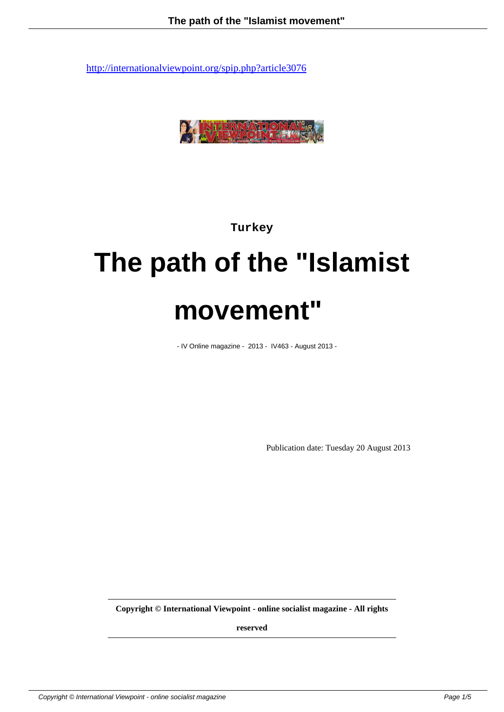

**Turkey**

# **The path of the "Islamist movement"**

- IV Online magazine - 2013 - IV463 - August 2013 -

Publication date: Tuesday 20 August 2013

**Copyright © International Viewpoint - online socialist magazine - All rights**

**reserved**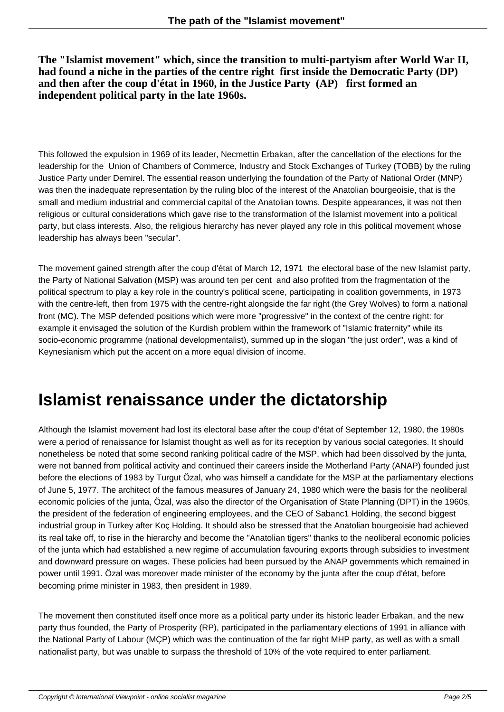**The "Islamist movement" which, since the transition to multi-partyism after World War II, had found a niche in the parties of the centre right first inside the Democratic Party (DP) and then after the coup d'état in 1960, in the Justice Party (AP) first formed an independent political party in the late 1960s.**

This followed the expulsion in 1969 of its leader, Necmettin Erbakan, after the cancellation of the elections for the leadership for the Union of Chambers of Commerce, Industry and Stock Exchanges of Turkey (TOBB) by the ruling Justice Party under Demirel. The essential reason underlying the foundation of the Party of National Order (MNP) was then the inadequate representation by the ruling bloc of the interest of the Anatolian bourgeoisie, that is the small and medium industrial and commercial capital of the Anatolian towns. Despite appearances, it was not then religious or cultural considerations which gave rise to the transformation of the Islamist movement into a political party, but class interests. Also, the religious hierarchy has never played any role in this political movement whose leadership has always been "secular".

The movement gained strength after the coup d'état of March 12, 1971 the electoral base of the new Islamist party, the Party of National Salvation (MSP) was around ten per cent and also profited from the fragmentation of the political spectrum to play a key role in the country's political scene, participating in coalition governments, in 1973 with the centre-left, then from 1975 with the centre-right alongside the far right (the Grey Wolves) to form a national front (MC). The MSP defended positions which were more "progressive" in the context of the centre right: for example it envisaged the solution of the Kurdish problem within the framework of "Islamic fraternity" while its socio-economic programme (national developmentalist), summed up in the slogan "the just order", was a kind of Keynesianism which put the accent on a more equal division of income.

## **Islamist renaissance under the dictatorship**

Although the Islamist movement had lost its electoral base after the coup d'état of September 12, 1980, the 1980s were a period of renaissance for Islamist thought as well as for its reception by various social categories. It should nonetheless be noted that some second ranking political cadre of the MSP, which had been dissolved by the junta, were not banned from political activity and continued their careers inside the Motherland Party (ANAP) founded just before the elections of 1983 by Turgut Özal, who was himself a candidate for the MSP at the parliamentary elections of June 5, 1977. The architect of the famous measures of January 24, 1980 which were the basis for the neoliberal economic policies of the junta, Özal, was also the director of the Organisation of State Planning (DPT) in the 1960s, the president of the federation of engineering employees, and the CEO of Sabanc1 Holding, the second biggest industrial group in Turkey after Koç Holding. It should also be stressed that the Anatolian bourgeoisie had achieved its real take off, to rise in the hierarchy and become the "Anatolian tigers" thanks to the neoliberal economic policies of the junta which had established a new regime of accumulation favouring exports through subsidies to investment and downward pressure on wages. These policies had been pursued by the ANAP governments which remained in power until 1991. Özal was moreover made minister of the economy by the junta after the coup d'état, before becoming prime minister in 1983, then president in 1989.

The movement then constituted itself once more as a political party under its historic leader Erbakan, and the new party thus founded, the Party of Prosperity (RP), participated in the parliamentary elections of 1991 in alliance with the National Party of Labour (MÇP) which was the continuation of the far right MHP party, as well as with a small nationalist party, but was unable to surpass the threshold of 10% of the vote required to enter parliament.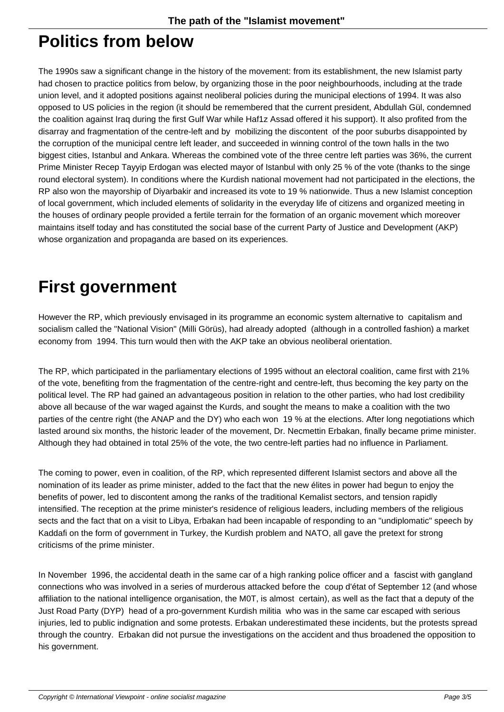#### **Politics from below**

The 1990s saw a significant change in the history of the movement: from its establishment, the new Islamist party had chosen to practice politics from below, by organizing those in the poor neighbourhoods, including at the trade union level, and it adopted positions against neoliberal policies during the municipal elections of 1994. It was also opposed to US policies in the region (it should be remembered that the current president, Abdullah Gül, condemned the coalition against Iraq during the first Gulf War while Haf1z Assad offered it his support). It also profited from the disarray and fragmentation of the centre-left and by mobilizing the discontent of the poor suburbs disappointed by the corruption of the municipal centre left leader, and succeeded in winning control of the town halls in the two biggest cities, Istanbul and Ankara. Whereas the combined vote of the three centre left parties was 36%, the current Prime Minister Recep Tayyip Erdogan was elected mayor of Istanbul with only 25 % of the vote (thanks to the singe round electoral system). In conditions where the Kurdish national movement had not participated in the elections, the RP also won the mayorship of Diyarbakir and increased its vote to 19 % nationwide. Thus a new Islamist conception of local government, which included elements of solidarity in the everyday life of citizens and organized meeting in the houses of ordinary people provided a fertile terrain for the formation of an organic movement which moreover maintains itself today and has constituted the social base of the current Party of Justice and Development (AKP) whose organization and propaganda are based on its experiences.

## **First government**

However the RP, which previously envisaged in its programme an economic system alternative to capitalism and socialism called the "National Vision" (Milli Görüs), had already adopted (although in a controlled fashion) a market economy from 1994. This turn would then with the AKP take an obvious neoliberal orientation.

The RP, which participated in the parliamentary elections of 1995 without an electoral coalition, came first with 21% of the vote, benefiting from the fragmentation of the centre-right and centre-left, thus becoming the key party on the political level. The RP had gained an advantageous position in relation to the other parties, who had lost credibility above all because of the war waged against the Kurds, and sought the means to make a coalition with the two parties of the centre right (the ANAP and the DY) who each won 19 % at the elections. After long negotiations which lasted around six months, the historic leader of the movement, Dr. Necmettin Erbakan, finally became prime minister. Although they had obtained in total 25% of the vote, the two centre-left parties had no influence in Parliament.

The coming to power, even in coalition, of the RP, which represented different Islamist sectors and above all the nomination of its leader as prime minister, added to the fact that the new élites in power had begun to enjoy the benefits of power, led to discontent among the ranks of the traditional Kemalist sectors, and tension rapidly intensified. The reception at the prime minister's residence of religious leaders, including members of the religious sects and the fact that on a visit to Libya, Erbakan had been incapable of responding to an "undiplomatic" speech by Kaddafi on the form of government in Turkey, the Kurdish problem and NATO, all gave the pretext for strong criticisms of the prime minister.

In November 1996, the accidental death in the same car of a high ranking police officer and a fascist with gangland connections who was involved in a series of murderous attacked before the coup d'état of September 12 (and whose affiliation to the national intelligence organisation, the M0T, is almost certain), as well as the fact that a deputy of the Just Road Party (DYP) head of a pro-government Kurdish militia who was in the same car escaped with serious injuries, led to public indignation and some protests. Erbakan underestimated these incidents, but the protests spread through the country. Erbakan did not pursue the investigations on the accident and thus broadened the opposition to his government.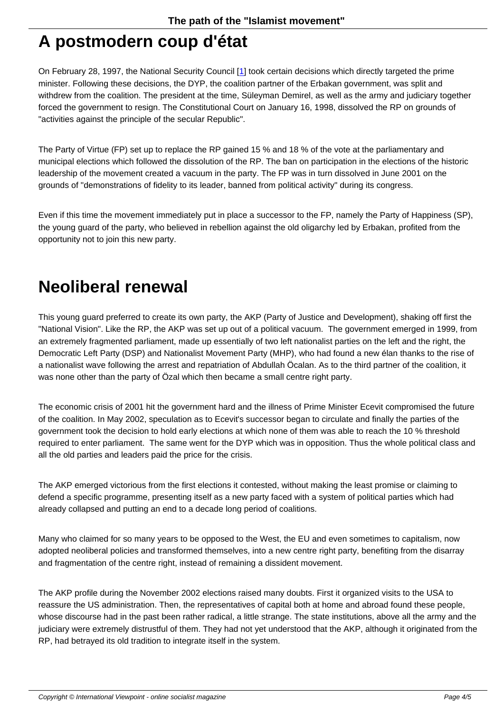#### **A postmodern coup d'état**

On February 28, 1997, the National Security Council [1] took certain decisions which directly targeted the prime minister. Following these decisions, the DYP, the coalition partner of the Erbakan government, was split and withdrew from the coalition. The president at the time, Süleyman Demirel, as well as the army and judiciary together forced the government to resign. The Constitutional Court on January 16, 1998, dissolved the RP on grounds of "activities against the principle of the secular Republi[c".](#nb1)

The Party of Virtue (FP) set up to replace the RP gained 15 % and 18 % of the vote at the parliamentary and municipal elections which followed the dissolution of the RP. The ban on participation in the elections of the historic leadership of the movement created a vacuum in the party. The FP was in turn dissolved in June 2001 on the grounds of "demonstrations of fidelity to its leader, banned from political activity" during its congress.

Even if this time the movement immediately put in place a successor to the FP, namely the Party of Happiness (SP), the young guard of the party, who believed in rebellion against the old oligarchy led by Erbakan, profited from the opportunity not to join this new party.

### **Neoliberal renewal**

This young guard preferred to create its own party, the AKP (Party of Justice and Development), shaking off first the "National Vision". Like the RP, the AKP was set up out of a political vacuum. The government emerged in 1999, from an extremely fragmented parliament, made up essentially of two left nationalist parties on the left and the right, the Democratic Left Party (DSP) and Nationalist Movement Party (MHP), who had found a new élan thanks to the rise of a nationalist wave following the arrest and repatriation of Abdullah Öcalan. As to the third partner of the coalition, it was none other than the party of Özal which then became a small centre right party.

The economic crisis of 2001 hit the government hard and the illness of Prime Minister Ecevit compromised the future of the coalition. In May 2002, speculation as to Ecevit's successor began to circulate and finally the parties of the government took the decision to hold early elections at which none of them was able to reach the 10 % threshold required to enter parliament. The same went for the DYP which was in opposition. Thus the whole political class and all the old parties and leaders paid the price for the crisis.

The AKP emerged victorious from the first elections it contested, without making the least promise or claiming to defend a specific programme, presenting itself as a new party faced with a system of political parties which had already collapsed and putting an end to a decade long period of coalitions.

Many who claimed for so many years to be opposed to the West, the EU and even sometimes to capitalism, now adopted neoliberal policies and transformed themselves, into a new centre right party, benefiting from the disarray and fragmentation of the centre right, instead of remaining a dissident movement.

The AKP profile during the November 2002 elections raised many doubts. First it organized visits to the USA to reassure the US administration. Then, the representatives of capital both at home and abroad found these people, whose discourse had in the past been rather radical, a little strange. The state institutions, above all the army and the judiciary were extremely distrustful of them. They had not yet understood that the AKP, although it originated from the RP, had betrayed its old tradition to integrate itself in the system.